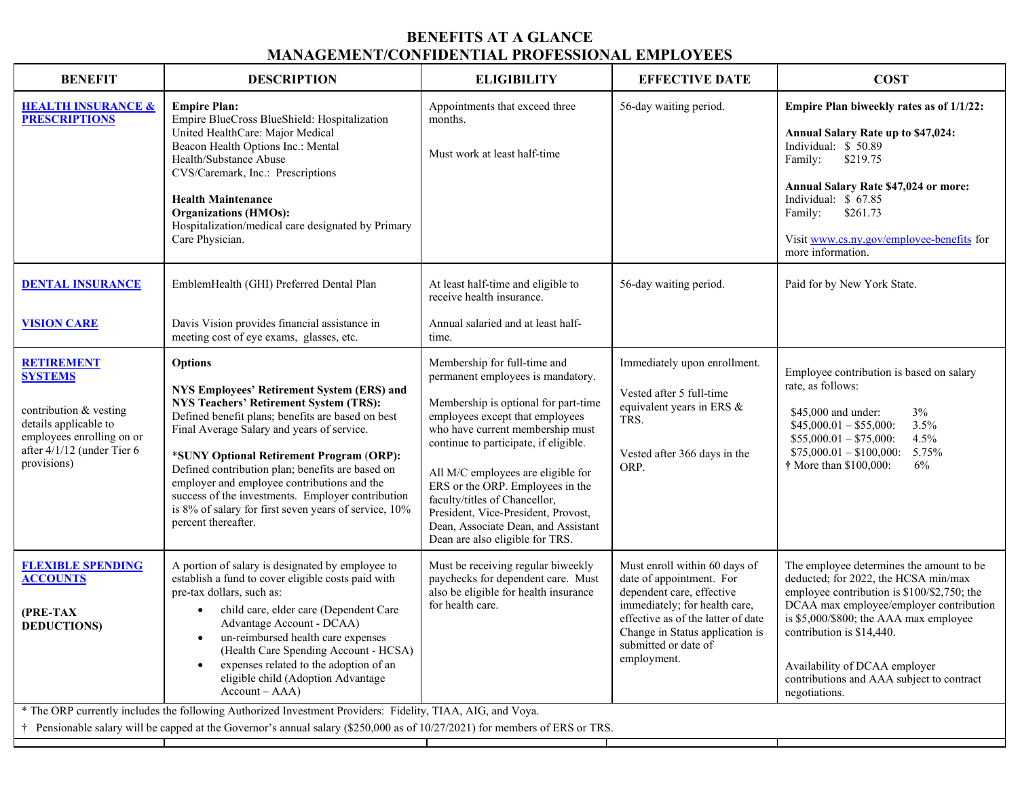## **BENEFITS AT A GLANCE MANAGEMENT/CONFIDENTIAL PROFESSIONAL EMPLOYEES**

| <b>BENEFIT</b>                                                                                                                                                   | <b>DESCRIPTION</b>                                                                                                                                                                                                                                                                                                                                                                                                                                                                                            | <b>ELIGIBILITY</b>                                                                                                                                                                                                                                                                                                                                                                                                                                    | <b>EFFECTIVE DATE</b>                                                                                                                                                                                                                   | <b>COST</b>                                                                                                                                                                                                                                                                                                                                      |  |  |
|------------------------------------------------------------------------------------------------------------------------------------------------------------------|---------------------------------------------------------------------------------------------------------------------------------------------------------------------------------------------------------------------------------------------------------------------------------------------------------------------------------------------------------------------------------------------------------------------------------------------------------------------------------------------------------------|-------------------------------------------------------------------------------------------------------------------------------------------------------------------------------------------------------------------------------------------------------------------------------------------------------------------------------------------------------------------------------------------------------------------------------------------------------|-----------------------------------------------------------------------------------------------------------------------------------------------------------------------------------------------------------------------------------------|--------------------------------------------------------------------------------------------------------------------------------------------------------------------------------------------------------------------------------------------------------------------------------------------------------------------------------------------------|--|--|
| <b>HEALTH INSURANCE &amp;</b><br><b>PRESCRIPTIONS</b>                                                                                                            | <b>Empire Plan:</b><br>Empire BlueCross BlueShield: Hospitalization<br>United HealthCare: Major Medical<br>Beacon Health Options Inc.: Mental<br>Health/Substance Abuse<br>CVS/Caremark, Inc.: Prescriptions<br><b>Health Maintenance</b><br><b>Organizations (HMOs):</b><br>Hospitalization/medical care designated by Primary<br>Care Physician.                                                                                                                                                            | Appointments that exceed three<br>months.<br>Must work at least half-time                                                                                                                                                                                                                                                                                                                                                                             | 56-day waiting period.                                                                                                                                                                                                                  | Empire Plan biweekly rates as of 1/1/22:<br>Annual Salary Rate up to \$47,024:<br>Individual: \$50.89<br>\$219.75<br>Family:<br>Annual Salary Rate \$47,024 or more:<br>Individual: \$ 67.85<br>\$261.73<br>Family:<br>Visit www.cs.ny.gov/employee-benefits for<br>more information.                                                            |  |  |
| <b>DENTAL INSURANCE</b><br><b>VISION CARE</b>                                                                                                                    | EmblemHealth (GHI) Preferred Dental Plan<br>Davis Vision provides financial assistance in<br>meeting cost of eye exams, glasses, etc.                                                                                                                                                                                                                                                                                                                                                                         | At least half-time and eligible to<br>receive health insurance.<br>Annual salaried and at least half-<br>time.                                                                                                                                                                                                                                                                                                                                        | 56-day waiting period.                                                                                                                                                                                                                  | Paid for by New York State.                                                                                                                                                                                                                                                                                                                      |  |  |
| <b>RETIREMENT</b><br><b>SYSTEMS</b><br>contribution & vesting<br>details applicable to<br>employees enrolling on or<br>after 4/1/12 (under Tier 6<br>provisions) | <b>Options</b><br>NYS Employees' Retirement System (ERS) and<br><b>NYS Teachers' Retirement System (TRS):</b><br>Defined benefit plans; benefits are based on best<br>Final Average Salary and years of service.<br>*SUNY Optional Retirement Program (ORP):<br>Defined contribution plan; benefits are based on<br>employer and employee contributions and the<br>success of the investments. Employer contribution<br>is 8% of salary for first seven years of service, 10%<br>percent thereafter.          | Membership for full-time and<br>permanent employees is mandatory.<br>Membership is optional for part-time<br>employees except that employees<br>who have current membership must<br>continue to participate, if eligible.<br>All M/C employees are eligible for<br>ERS or the ORP. Employees in the<br>faculty/titles of Chancellor,<br>President, Vice-President, Provost,<br>Dean, Associate Dean, and Assistant<br>Dean are also eligible for TRS. | Immediately upon enrollment.<br>Vested after 5 full-time<br>equivalent years in ERS &<br>TRS.<br>Vested after 366 days in the<br>ORP.                                                                                                   | Employee contribution is based on salary<br>rate, as follows:<br>$3\%$<br>\$45,000 and under:<br>$$45,000.01 - $55,000$ :<br>3.5%<br>$$55,000.01 - $75,000$ :<br>4.5%<br>$$75,000.01 - $100,000$ :<br>5.75%<br>6%<br>† More than \$100,000:                                                                                                      |  |  |
| <b>FLEXIBLE SPENDING</b><br><b>ACCOUNTS</b><br>(PRE-TAX<br><b>DEDUCTIONS</b> )                                                                                   | A portion of salary is designated by employee to<br>establish a fund to cover eligible costs paid with<br>pre-tax dollars, such as:<br>child care, elder care (Dependent Care<br>Advantage Account - DCAA)<br>• un-reimbursed health care expenses<br>(Health Care Spending Account - HCSA)<br>expenses related to the adoption of an<br>eligible child (Adoption Advantage<br>$Account - AAA)$<br>* The ORP currently includes the following Authorized Investment Providers: Fidelity, TIAA, AIG, and Voya. | Must be receiving regular biweekly<br>paychecks for dependent care. Must<br>also be eligible for health insurance<br>for health care.                                                                                                                                                                                                                                                                                                                 | Must enroll within 60 days of<br>date of appointment. For<br>dependent care, effective<br>immediately; for health care,<br>effective as of the latter of date<br>Change in Status application is<br>submitted or date of<br>employment. | The employee determines the amount to be<br>deducted; for 2022, the HCSA min/max<br>employee contribution is \$100/\$2,750; the<br>DCAA max employee/employer contribution<br>is \$5,000/\$800; the AAA max employee<br>contribution is \$14,440.<br>Availability of DCAA employer<br>contributions and AAA subject to contract<br>negotiations. |  |  |
| Pensionable salary will be capped at the Governor's annual salary (\$250,000 as of 10/27/2021) for members of ERS or TRS.                                        |                                                                                                                                                                                                                                                                                                                                                                                                                                                                                                               |                                                                                                                                                                                                                                                                                                                                                                                                                                                       |                                                                                                                                                                                                                                         |                                                                                                                                                                                                                                                                                                                                                  |  |  |